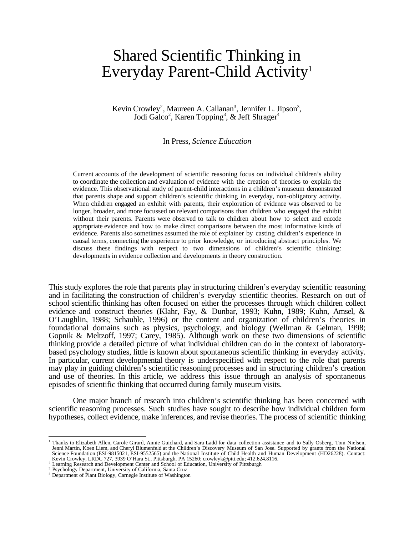# Shared Scientific Thinking in Everyday Parent-Child Activity<sup>1</sup>

Kevin Crowley<sup>2</sup>, Maureen A. Callanan<sup>3</sup>, Jennifer L. Jipson<sup>3</sup>, Jodi Galco<sup>2</sup>, Karen Topping<sup>3</sup>, & Jeff Shrager<sup>4</sup>

In Press*, Science Education*

Current accounts of the development of scientific reasoning focus on individual children's ability to coordinate the collection and evaluation of evidence with the creation of theories to explain the evidence. This observational study of parent-child interactions in a children's museum demonstrated that parents shape and support children's scientific thinking in everyday, non-obligatory activity. When children engaged an exhibit with parents, their exploration of evidence was observed to be longer, broader, and more focussed on relevant comparisons than children who engaged the exhibit without their parents. Parents were observed to talk to children about how to select and encode appropriate evidence and how to make direct comparisons between the most informative kinds of evidence. Parents also sometimes assumed the role of explainer by casting children's experience in causal terms, connecting the experience to prior knowledge, or introducing abstract principles. We discuss these findings with respect to two dimensions of children's scientific thinking: developments in evidence collection and developments in theory construction.

This study explores the role that parents play in structuring children's everyday scientific reasoning and in facilitating the construction of children's everyday scientific theories. Research on out of school scientific thinking has often focused on either the processes through which children collect evidence and construct theories (Klahr, Fay, & Dunbar, 1993; Kuhn, 1989; Kuhn, Amsel, & O'Laughlin, 1988; Schauble, 1996) or the content and organization of children's theories in foundational domains such as physics, psychology, and biology (Wellman & Gelman, 1998; Gopnik & Meltzoff, 1997; Carey, 1985). Although work on these two dimensions of scientific thinking provide a detailed picture of what individual children can do in the context of laboratorybased psychology studies, little is known about spontaneous scientific thinking in everyday activity. In particular, current developmental theory is underspecified with respect to the role that parents may play in guiding children's scientific reasoning processes and in structuring children's creation and use of theories. In this article, we address this issue through an analysis of spontaneous episodes of scientific thinking that occurred during family museum visits.

One major branch of research into children's scientific thinking has been concerned with scientific reasoning processes. Such studies have sought to describe how individual children form hypotheses, collect evidence, make inferences, and revise theories. The process of scientific thinking

 $\overline{a}$ 

<sup>&</sup>lt;sup>1</sup> Thanks to Elizabeth Allen, Carole Girard, Annie Guichard, and Sara Ladd for data collection assistance and to Sally Osberg, Tom Nielsen, Jenni Martin, Koen Liem, and Cheryl Blumenfeld at the Children's Discovery Museum of San Jose. Supported by grants from the National Science Foundation (ESI-9815021, ESI-9552565) and the National Institute of Child Health and Human Development (HD26228). Contact:<br>Kevin Crowley, LRDC 727, 3939 O'Hara St., Pittsburgh, PA 15260; crowleyk@pitt.edu; 412.624.

<sup>&</sup>lt;sup>2</sup> Learning Research and Development Center and School of Education, University of Pittsburgh

Psychology Department, University of California, Santa Cruz

<sup>4</sup> Department of Plant Biology, Carnegie Institute of Washington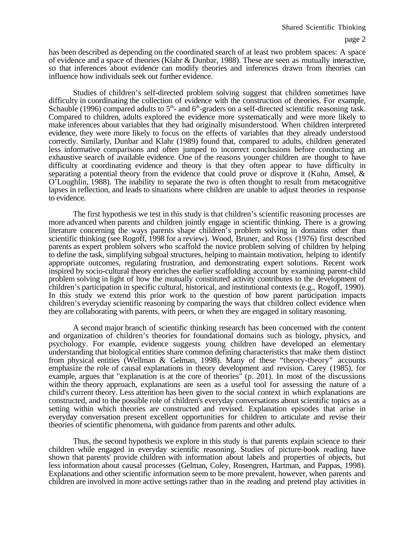Studies of children's self-directed problem solving suggest that children sometimes have difficulty in coordinating the collection of evidence with the construction of theories. For example, Schauble (1996) compared adults to  $5<sup>th</sup>$ - and  $6<sup>th</sup>$ -graders on a self-directed scientific reasoning task. Compared to children, adults explored the evidence more systematically and were more likely to make inferences about variables that they had originally misunderstood. When children interpreted evidence, they were more likely to focus on the effects of variables that they already understood correctly. Similarly, Dunbar and Klahr (1989) found that, compared to adults, children generated less informative comparisons and often jumped to incorrect conclusions before conducting an exhaustive search of available evidence. One of the reasons younger children are thought to have difficulty at coordinating evidence and theory is that they often appear to have difficulty in separating a potential theory from the evidence that could prove or disprove it (Kuhn, Amsel, & O'Loughlin, 1988). The inability to separate the two is often thought to result from metacognitive lapses in reflection, and leads to situations where children are unable to adjust theories in response to evidence.

The first hypothesis we test in this study is that children's scientific reasoning processes are more advanced when parents and children jointly engage in scientific thinking. There is a growing literature concerning the ways parents shape children's problem solving in domains other than scientific thinking (see Rogoff, 1998 for a review). Wood, Bruner, and Ross (1976) first described parents as expert problem solvers who scaffold the novice problem solving of children by helping to define the task, simplifying subgoal structures, helping to maintain motivation, helping to identify appropriate outcomes, regulating frustration, and demonstrating expert solutions. Recent work inspired by socio-cultural theory enriches the earlier scaffolding account by examining parent-child problem solving in light of how the mutually constituted activity contributes to the development of children's participation in specific cultural, historical, and institutional contexts (e.g., Rogoff, 1990). In this study we extend this prior work to the question of how parent participation impacts children's everyday scientific reasoning by comparing the ways that children collect evidence when they are collaborating with parents, with peers, or when they are engaged in solitary reasoning.

A second major branch of scientific thinking research has been concerned with the content and organization of children's theories for foundational domains such as biology, physics, and psychology. For example, evidence suggests young children have developed an elementary understanding that biological entities share common defining characteristics that make them distinct from physical entities (Wellman & Gelman, 1998). Many of these "theory-theory" accounts emphasize the role of causal explanations in theory development and revision. Carey (1985), for example, argues that "explanation is at the core of theories" (p. 201). In most of the discussions within the theory approach, explanations are seen as a useful tool for assessing the nature of a child's current theory. Less attention has been given to the social context in which explanations are constructed, and to the possible role of children's everyday conversations about scientific topics as a setting within which theories are constructed and revised. Explanation episodes that arise in everyday conversation present excellent opportunities for children to articulate and revise their theories of scientific phenomena, with guidance from parents and other adults.

Thus, the second hypothesis we explore in this study is that parents explain science to their children while engaged in everyday scientific reasoning. Studies of picture-book reading have shown that parents' provide children with information about labels and properties of objects, but less information about causal processes (Gelman, Coley, Rosengren, Hartman, and Pappas, 1998). Explanations and other scientific information seem to be more prevalent, however, when parents and children are involved in more active settings rather than in the reading and pretend play activities in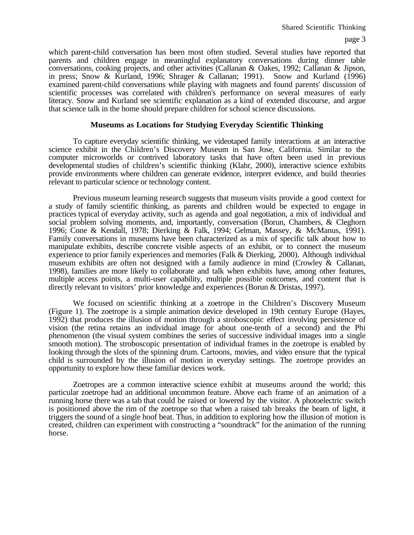which parent-child conversation has been most often studied. Several studies have reported that parents and children engage in meaningful explanatory conversations during dinner table conversations, cooking projects, and other activities (Callanan & Oakes, 1992; Callanan & Jipson, in press; Snow & Kurland, 1996; Shrager & Callanan; 1991). Snow and Kurland (1996) examined parent-child conversations while playing with magnets and found parents' discussion of scientific processes was correlated with children's performance on several measures of early literacy. Snow and Kurland see scientific explanation as a kind of extended discourse, and argue that science talk in the home should prepare children for school science discussions.

### **Museums as Locations for Studying Everyday Scientific Thinking**

To capture everyday scientific thinking, we videotaped family interactions at an interactive science exhibit in the Children's Discovery Museum in San Jose, California. Similar to the computer microworlds or contrived laboratory tasks that have often been used in previous developmental studies of children's scientific thinking (Klahr, 2000), interactive science exhibits provide environments where children can generate evidence, interpret evidence, and build theories relevant to particular science or technology content.

Previous museum learning research suggests that museum visits provide a good context for a study of family scientific thinking, as parents and children would be expected to engage in practices typical of everyday activity, such as agenda and goal negotiation, a mix of individual and social problem solving moments, and, importantly, conversation (Borun, Chambers, & Cleghorn 1996; Cone & Kendall, 1978; Dierking & Falk, 1994; Gelman, Massey, & McManus, 1991). Family conversations in museums have been characterized as a mix of specific talk about how to manipulate exhibits, describe concrete visible aspects of an exhibit, or to connect the museum experience to prior family experiences and memories (Falk & Dierking, 2000). Although individual museum exhibits are often not designed with a family audience in mind (Crowley & Callanan, 1998), families are more likely to collaborate and talk when exhibits have, among other features, multiple access points, a multi-user capability, multiple possible outcomes, and content that is directly relevant to visitors' prior knowledge and experiences (Borun & Dristas, 1997).

We focused on scientific thinking at a zoetrope in the Children's Discovery Museum (Figure 1). The zoetrope is a simple animation device developed in 19th century Europe (Hayes, 1992) that produces the illusion of motion through a stroboscopic effect involving persistence of vision (the retina retains an individual image for about one-tenth of a second) and the Phi phenomenon (the visual system combines the series of successive individual images into a single smooth motion). The stroboscopic presentation of individual frames in the zoetrope is enabled by looking through the slots of the spinning drum. Cartoons, movies, and video ensure that the typical child is surrounded by the illusion of motion in everyday settings. The zoetrope provides an opportunity to explore how these familiar devices work.

Zoetropes are a common interactive science exhibit at museums around the world; this particular zoetrope had an additional uncommon feature. Above each frame of an animation of a running horse there was a tab that could be raised or lowered by the visitor. A photoelectric switch is positioned above the rim of the zoetrope so that when a raised tab breaks the beam of light, it triggers the sound of a single hoof beat. Thus, in addition to exploring how the illusion of motion is created, children can experiment with constructing a "soundtrack" for the animation of the running horse.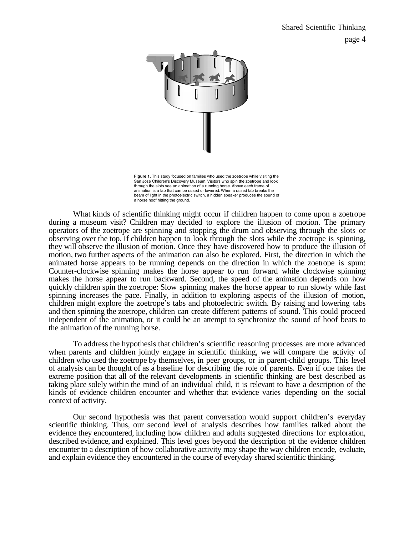

Figure 1. This study focused on families who used the zoetrope while visiting the San Jose Children's Discovery Museum. Visitors who spin the zoetrope and look through the slots see an animation of a running horse. Above each frame of animation is a tab that can be raised or lowered. When a raised tab breaks the beam of light in the photoelectric switch, a hidden speaker produces the sound of a horse hoof hitting the ground.

What kinds of scientific thinking might occur if children happen to come upon a zoetrope during a museum visit? Children may decided to explore the illusion of motion. The primary operators of the zoetrope are spinning and stopping the drum and observing through the slots or observing over the top. If children happen to look through the slots while the zoetrope is spinning, they will observe the illusion of motion. Once they have discovered how to produce the illusion of motion, two further aspects of the animation can also be explored. First, the direction in which the animated horse appears to be running depends on the direction in which the zoetrope is spun: Counter-clockwise spinning makes the horse appear to run forward while clockwise spinning makes the horse appear to run backward. Second, the speed of the animation depends on how quickly children spin the zoetrope: Slow spinning makes the horse appear to run slowly while fast spinning increases the pace. Finally, in addition to exploring aspects of the illusion of motion, children might explore the zoetrope's tabs and photoelectric switch. By raising and lowering tabs and then spinning the zoetrope, children can create different patterns of sound. This could proceed independent of the animation, or it could be an attempt to synchronize the sound of hoof beats to the animation of the running horse.

To address the hypothesis that children's scientific reasoning processes are more advanced when parents and children jointly engage in scientific thinking, we will compare the activity of children who used the zoetrope by themselves, in peer groups, or in parent-child groups. This level of analysis can be thought of as a baseline for describing the role of parents. Even if one takes the extreme position that all of the relevant developments in scientific thinking are best described as taking place solely within the mind of an individual child, it is relevant to have a description of the kinds of evidence children encounter and whether that evidence varies depending on the social context of activity.

Our second hypothesis was that parent conversation would support children's everyday scientific thinking. Thus, our second level of analysis describes how families talked about the evidence they encountered, including how children and adults suggested directions for exploration, described evidence, and explained. This level goes beyond the description of the evidence children encounter to a description of how collaborative activity may shape the way children encode, evaluate, and explain evidence they encountered in the course of everyday shared scientific thinking.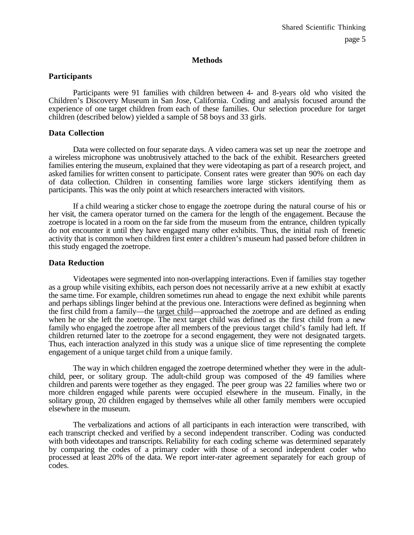# **Methods**

# **Participants**

Participants were 91 families with children between 4- and 8-years old who visited the Children's Discovery Museum in San Jose, California. Coding and analysis focused around the experience of one target children from each of these families. Our selection procedure for target children (described below) yielded a sample of 58 boys and 33 girls.

# **Data Collection**

Data were collected on four separate days. A video camera was set up near the zoetrope and a wireless microphone was unobtrusively attached to the back of the exhibit. Researchers greeted families entering the museum, explained that they were videotaping as part of a research project, and asked families for written consent to participate. Consent rates were greater than 90% on each day of data collection. Children in consenting families wore large stickers identifying them as participants. This was the only point at which researchers interacted with visitors.

If a child wearing a sticker chose to engage the zoetrope during the natural course of his or her visit, the camera operator turned on the camera for the length of the engagement. Because the zoetrope is located in a room on the far side from the museum from the entrance, children typically do not encounter it until they have engaged many other exhibits. Thus, the initial rush of frenetic activity that is common when children first enter a children's museum had passed before children in this study engaged the zoetrope.

# **Data Reduction**

Videotapes were segmented into non-overlapping interactions. Even if families stay together as a group while visiting exhibits, each person does not necessarily arrive at a new exhibit at exactly the same time. For example, children sometimes run ahead to engage the next exhibit while parents and perhaps siblings linger behind at the previous one. Interactions were defined as beginning when the first child from a family—the target child—approached the zoetrope and are defined as ending when he or she left the zoetrope. The next target child was defined as the first child from a new family who engaged the zoetrope after all members of the previous target child's family had left. If children returned later to the zoetrope for a second engagement, they were not designated targets. Thus, each interaction analyzed in this study was a unique slice of time representing the complete engagement of a unique target child from a unique family.

The way in which children engaged the zoetrope determined whether they were in the adultchild, peer, or solitary group. The adult-child group was composed of the 49 families where children and parents were together as they engaged. The peer group was 22 families where two or more children engaged while parents were occupied elsewhere in the museum. Finally, in the solitary group, 20 children engaged by themselves while all other family members were occupied elsewhere in the museum.

The verbalizations and actions of all participants in each interaction were transcribed, with each transcript checked and verified by a second independent transcriber. Coding was conducted with both videotapes and transcripts. Reliability for each coding scheme was determined separately by comparing the codes of a primary coder with those of a second independent coder who processed at least 20% of the data. We report inter-rater agreement separately for each group of codes.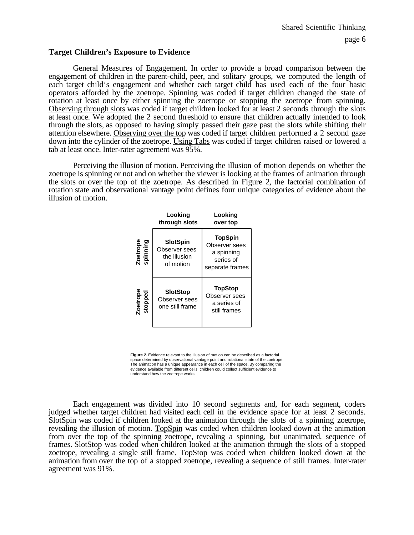# **Target Children's Exposure to Evidence**

General Measures of Engagement. In order to provide a broad comparison between the engagement of children in the parent-child, peer, and solitary groups, we computed the length of each target child's engagement and whether each target child has used each of the four basic operators afforded by the zoetrope. Spinning was coded if target children changed the state of rotation at least once by either spinning the zoetrope or stopping the zoetrope from spinning. Observing through slots was coded if target children looked for at least 2 seconds through the slots at least once. We adopted the 2 second threshold to ensure that children actually intended to look through the slots, as opposed to having simply passed their gaze past the slots while shifting their attention elsewhere. Observing over the top was coded if target children performed a 2 second gaze down into the cylinder of the zoetrope. Using Tabs was coded if target children raised or lowered a tab at least once. Inter-rater agreement was 95%.

Perceiving the illusion of motion. Perceiving the illusion of motion depends on whether the zoetrope is spinning or not and on whether the viewer is looking at the frames of animation through the slots or over the top of the zoetrope. As described in Figure 2, the factorial combination of rotation state and observational vantage point defines four unique categories of evidence about the illusion of motion.

|                      | Looking<br>through slots                                      | Looking<br>over top                                                           |
|----------------------|---------------------------------------------------------------|-------------------------------------------------------------------------------|
| Zoetrope<br>spinning | <b>SlotSpin</b><br>Observer sees<br>the illusion<br>of motion | <b>TopSpin</b><br>Observer sees<br>a spinning<br>series of<br>separate frames |
| Zoetrope<br>stopped  | <b>SlotStop</b><br>Observer sees<br>one still frame           | <b>TopStop</b><br>Observer sees<br>a series of<br>still frames                |

Figure 2. Evidence relevant to the illusion of motion can be described as a factorial space determined by observational vantage point and rotational state of the zoetrope. The animation has a unique appearance in each cell of the space. By comparing the evidence available from different cells, children could collect sufficient evidence to understand how the zoetrope works.

Each engagement was divided into 10 second segments and, for each segment, coders judged whether target children had visited each cell in the evidence space for at least 2 seconds. SlotSpin was coded if children looked at the animation through the slots of a spinning zoetrope, revealing the illusion of motion. TopSpin was coded when children looked down at the animation from over the top of the spinning zoetrope, revealing a spinning, but unanimated, sequence of frames. SlotStop was coded when children looked at the animation through the slots of a stopped zoetrope, revealing a single still frame. TopStop was coded when children looked down at the animation from over the top of a stopped zoetrope, revealing a sequence of still frames. Inter-rater agreement was 91%.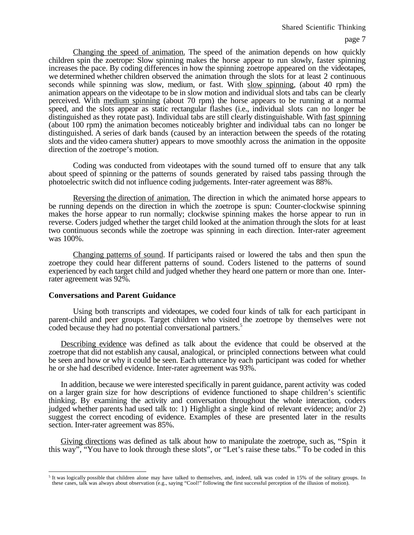Changing the speed of animation. The speed of the animation depends on how quickly children spin the zoetrope: Slow spinning makes the horse appear to run slowly, faster spinning increases the pace. By coding differences in how the spinning zoetrope appeared on the videotapes, we determined whether children observed the animation through the slots for at least 2 continuous seconds while spinning was slow, medium, or fast. With slow spinning, (about 40 rpm) the animation appears on the videotape to be in slow motion and individual slots and tabs can be clearly perceived. With medium spinning (about 70 rpm) the horse appears to be running at a normal speed, and the slots appear as static rectangular flashes (i.e., individual slots can no longer be distinguished as they rotate past). Individual tabs are still clearly distinguishable. With fast spinning (about 100 rpm) the animation becomes noticeably brighter and individual tabs can no longer be distinguished. A series of dark bands (caused by an interaction between the speeds of the rotating slots and the video camera shutter) appears to move smoothly across the animation in the opposite direction of the zoetrope's motion.

Coding was conducted from videotapes with the sound turned off to ensure that any talk about speed of spinning or the patterns of sounds generated by raised tabs passing through the photoelectric switch did not influence coding judgements. Inter-rater agreement was 88%.

Reversing the direction of animation. The direction in which the animated horse appears to be running depends on the direction in which the zoetrope is spun: Counter-clockwise spinning makes the horse appear to run normally; clockwise spinning makes the horse appear to run in reverse. Coders judged whether the target child looked at the animation through the slots for at least two continuous seconds while the zoetrope was spinning in each direction. Inter-rater agreement was 100%.

Changing patterns of sound. If participants raised or lowered the tabs and then spun the zoetrope they could hear different patterns of sound. Coders listened to the patterns of sound experienced by each target child and judged whether they heard one pattern or more than one. Interrater agreement was 92%.

# **Conversations and Parent Guidance**

Using both transcripts and videotapes, we coded four kinds of talk for each participant in parent-child and peer groups. Target children who visited the zoetrope by themselves were not coded because they had no potential conversational partners.<sup>5</sup>

Describing evidence was defined as talk about the evidence that could be observed at the zoetrope that did not establish any causal, analogical, or principled connections between what could be seen and how or why it could be seen. Each utterance by each participant was coded for whether he or she had described evidence. Inter-rater agreement was 93%.

In addition, because we were interested specifically in parent guidance, parent activity was coded on a larger grain size for how descriptions of evidence functioned to shape children's scientific thinking. By examining the activity and conversation throughout the whole interaction, coders judged whether parents had used talk to: 1) Highlight a single kind of relevant evidence; and/or 2) suggest the correct encoding of evidence. Examples of these are presented later in the results section. Inter-rater agreement was 85%.

Giving directions was defined as talk about how to manipulate the zoetrope, such as, "Spin it this way", "You have to look through these slots", or "Let's raise these tabs." To be coded in this

 $\overline{a}$  $5$  It was logically possible that children alone may have talked to themselves, and, indeed, talk was coded in 15% of the solitary groups. In these cases, talk was always about observation (e.g., saying "Cool!" following the first successful perception of the illusion of motion).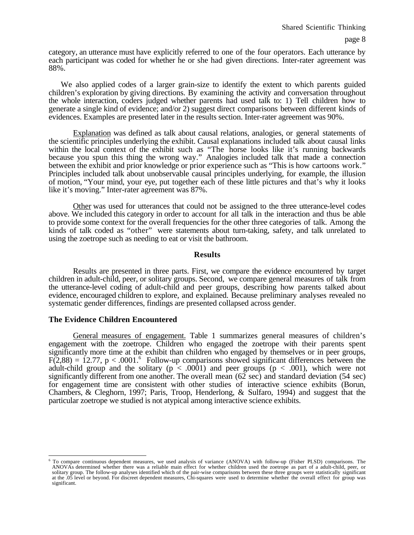category, an utterance must have explicitly referred to one of the four operators. Each utterance by each participant was coded for whether he or she had given directions. Inter-rater agreement was 88%.

We also applied codes of a larger grain-size to identify the extent to which parents guided children's exploration by giving directions. By examining the activity and conversation throughout the whole interaction, coders judged whether parents had used talk to: 1) Tell children how to generate a single kind of evidence; and/or 2) suggest direct comparisons between different kinds of evidences. Examples are presented later in the results section. Inter-rater agreement was 90%.

Explanation was defined as talk about causal relations, analogies, or general statements of the scientific principles underlying the exhibit. Causal explanations included talk about causal links within the local context of the exhibit such as "The horse looks like it's running backwards because you spun this thing the wrong way." Analogies included talk that made a connection between the exhibit and prior knowledge or prior experience such as "This is how cartoons work." Principles included talk about unobservable causal principles underlying, for example, the illusion of motion, "Your mind, your eye, put together each of these little pictures and that's why it looks like it's moving." Inter-rater agreement was 87%.

Other was used for utterances that could not be assigned to the three utterance-level codes above. We included this category in order to account for all talk in the interaction and thus be able to provide some context for the overall frequencies for the other three categories of talk. Among the kinds of talk coded as "other" were statements about turn-taking, safety, and talk unrelated to using the zoetrope such as needing to eat or visit the bathroom.

#### **Results**

Results are presented in three parts. First, we compare the evidence encountered by target children in adult-child, peer, or solitary groups. Second, we compare general measures of talk from the utterance-level coding of adult-child and peer groups, describing how parents talked about evidence, encouraged children to explore, and explained. Because preliminary analyses revealed no systematic gender differences, findings are presented collapsed across gender.

# **The Evidence Children Encountered**

General measures of engagement. Table 1 summarizes general measures of children's engagement with the zoetrope. Children who engaged the zoetrope with their parents spent significantly more time at the exhibit than children who engaged by themselves or in peer groups,  $F(2,88) = 12.77$ ,  $p < .0001$ .<sup>6</sup> Follow-up comparisons showed significant differences between the adult-child group and the solitary ( $p < .0001$ ) and peer groups ( $p < .001$ ), which were not significantly different from one another. The overall mean  $(62 \text{ sec})$  and standard deviation  $(54 \text{ sec})$ for engagement time are consistent with other studies of interactive science exhibits (Borun, Chambers, & Cleghorn, 1997; Paris, Troop, Henderlong, & Sulfaro, 1994) and suggest that the particular zoetrope we studied is not atypical among interactive science exhibits.

 $\overline{a}$ 6 To compare continuous dependent measures, we used analysis of variance (ANOVA) with follow-up (Fisher PLSD) comparisons. The ANOVAs determined whether there was a reliable main effect for whether children used the zoetrope as part of a adult-child, peer, or solitary group. The follow-up analyses identified which of the pair-wise comparisons between these three groups were statistically significant at the .05 level or beyond. For discreet dependent measures, Chi-squares were used to determine whether the overall effect for group was significant.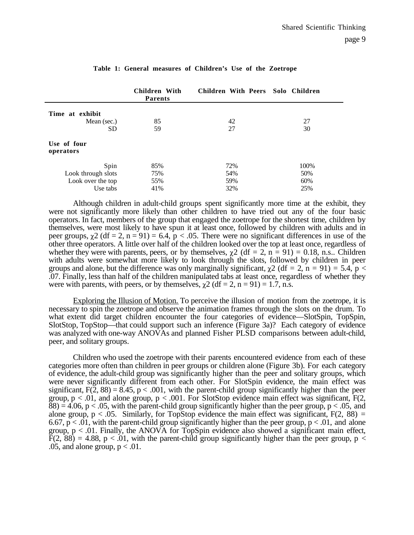|                                                             | Children With<br><b>Parents</b> | Children With Peers Solo Children |                           |
|-------------------------------------------------------------|---------------------------------|-----------------------------------|---------------------------|
| Time at exhibit<br>Mean (sec.)<br><b>SD</b>                 | 85<br>59                        | 42<br>27                          | 27<br>30                  |
| Use of four<br>operators                                    |                                 |                                   |                           |
| Spin<br>Look through slots<br>Look over the top<br>Use tabs | 85%<br>75%<br>55%<br>41%        | 72%<br>54%<br>59%<br>32%          | 100%<br>50%<br>60%<br>25% |

#### **Table 1: General measures of Children's Use of the Zoetrope**

Although children in adult-child groups spent significantly more time at the exhibit, they were not significantly more likely than other children to have tried out any of the four basic operators. In fact, members of the group that engaged the zoetrope for the shortest time, children by themselves, were most likely to have spun it at least once, followed by children with adults and in peer groups,  $\chi^2$  (df = 2, n = 91) = 6.4, p < .05. There were no significant differences in use of the other three operators. A little over half of the children looked over the top at least once, regardless of whether they were with parents, peers, or by themselves,  $\chi^2$  (df = 2, n = 91) = 0.18, n.s.. Children with adults were somewhat more likely to look through the slots, followed by children in peer groups and alone, but the difference was only marginally significant,  $\chi^2$  (df = 2, n = 91) = 5.4, p < .07. Finally, less than half of the children manipulated tabs at least once, regardless of whether they were with parents, with peers, or by themselves,  $\chi$ 2 (df = 2, n = 91) = 1.7, n.s.

Exploring the Illusion of Motion. To perceive the illusion of motion from the zoetrope, it is necessary to spin the zoetrope and observe the animation frames through the slots on the drum. To what extent did target children encounter the four categories of evidence—SlotSpin, TopSpin, SlotStop, TopStop—that could support such an inference (Figure 3a)? Each category of evidence was analyzed with one-way ANOVAs and planned Fisher PLSD comparisons between adult-child, peer, and solitary groups.

Children who used the zoetrope with their parents encountered evidence from each of these categories more often than children in peer groups or children alone (Figure 3b). For each category of evidence, the adult-child group was significantly higher than the peer and solitary groups, which were never significantly different from each other. For SlotSpin evidence, the main effect was significant,  $F(2, 88) = 8.45$ ,  $p < .001$ , with the parent-child group significantly higher than the peer group,  $p < .01$ , and alone group,  $p < .001$ . For SlotStop evidence main effect was significant,  $F(2, \theta)$  $88$ ) = 4.06, p < .05, with the parent-child group significantly higher than the peer group, p < .05, and alone group,  $p < 0.05$ . Similarly, for TopStop evidence the main effect was significant,  $F(2, 88) =$ 6.67, p  $\lt$  0.01, with the parent-child group significantly higher than the peer group, p  $\lt$  0.01, and alone group,  $p < 0.01$ . Finally, the ANOVA for TopSpin evidence also showed a significant main effect,  $F(2, 88) = 4.88$ ,  $p < .01$ , with the parent-child group significantly higher than the peer group,  $p <$ .05, and alone group,  $p < .01$ .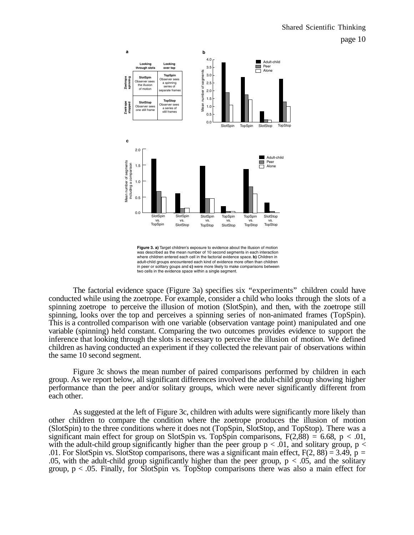

**Figure 3. a)** Target children's exposure to evidence about the illusion of motion was described as the mean number of 10 second segments in each interaction where children entered each cell in the factorial evidence space. **b)** Children in adult-child groups encountered each kind of evidence more often than children in peer or solitary goups and **c)** were more likely to make comparisons between two cells in the evidence space within a single segment.

The factorial evidence space (Figure 3a) specifies six "experiments" children could have conducted while using the zoetrope. For example, consider a child who looks through the slots of a spinning zoetrope to perceive the illusion of motion (SlotSpin), and then, with the zoetrope still spinning, looks over the top and perceives a spinning series of non-animated frames (TopSpin). This is a controlled comparison with one variable (observation vantage point) manipulated and one variable (spinning) held constant. Comparing the two outcomes provides evidence to support the inference that looking through the slots is necessary to perceive the illusion of motion. We defined children as having conducted an experiment if they collected the relevant pair of observations within the same 10 second segment.

Figure 3c shows the mean number of paired comparisons performed by children in each group. As we report below, all significant differences involved the adult-child group showing higher performance than the peer and/or solitary groups, which were never significantly different from each other.

As suggested at the left of Figure 3c, children with adults were significantly more likely than other children to compare the condition where the zoetrope produces the illusion of motion (SlotSpin) to the three conditions where it does not (TopSpin, SlotStop, and TopStop). There was a significant main effect for group on SlotSpin vs. TopSpin comparisons,  $F(2,88) = 6.68$ ,  $p < .01$ , with the adult-child group significantly higher than the peer group  $p < .01$ , and solitary group,  $p <$ .01. For SlotSpin vs. SlotStop comparisons, there was a significant main effect,  $F(2, 88) = 3.49$ , p = .05, with the adult-child group significantly higher than the peer group,  $p < .05$ , and the solitary group,  $p < 0.05$ . Finally, for SlotSpin vs. TopStop comparisons there was also a main effect for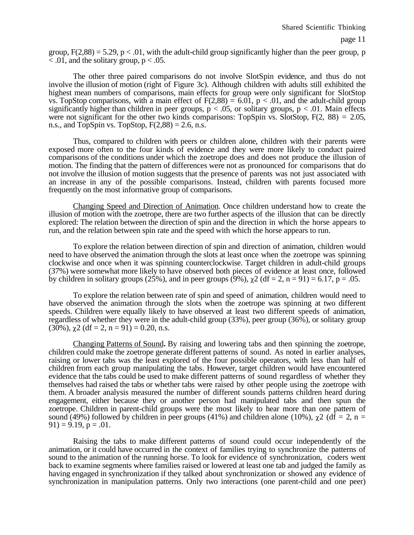group,  $F(2,88) = 5.29$ ,  $p < .01$ , with the adult-child group significantly higher than the peer group, p  $\leq$  .01, and the solitary group, p  $\leq$  .05.

The other three paired comparisons do not involve SlotSpin evidence, and thus do not involve the illusion of motion (right of Figure 3c). Although children with adults still exhibited the highest mean numbers of comparisons, main effects for group were only significant for SlotStop vs. TopStop comparisons, with a main effect of  $F(2,88) = 6.01$ , p < 0.01, and the adult-child group significantly higher than children in peer groups,  $p < .05$ , or solitary groups,  $p < .01$ . Main effects were not significant for the other two kinds comparisons: TopSpin vs. SlotStop,  $F(2, 88) = 2.05$ , n.s., and TopSpin vs. TopStop,  $F(2,88) = 2.6$ , n.s.

Thus, compared to children with peers or children alone, children with their parents were exposed more often to the four kinds of evidence and they were more likely to conduct paired comparisons of the conditions under which the zoetrope does and does not produce the illusion of motion. The finding that the pattern of differences were not as pronounced for comparisons that do not involve the illusion of motion suggests that the presence of parents was not just associated with an increase in any of the possible comparisons. Instead, children with parents focused more frequently on the most informative group of comparisons.

Changing Speed and Direction of Animation. Once children understand how to create the illusion of motion with the zoetrope, there are two further aspects of the illusion that can be directly explored: The relation between the direction of spin and the direction in which the horse appears to run, and the relation between spin rate and the speed with which the horse appears to run.

To explore the relation between direction of spin and direction of animation, children would need to have observed the animation through the slots at least once when the zoetrope was spinning clockwise and once when it was spinning counterclockwise. Target children in adult-child groups (37%) were somewhat more likely to have observed both pieces of evidence at least once, followed by children in solitary groups (25%), and in peer groups (9%),  $\gamma$ 2 (df = 2, n = 91) = 6.17, p = .05.

To explore the relation between rate of spin and speed of animation, children would need to have observed the animation through the slots when the zoetrope was spinning at two different speeds. Children were equally likely to have observed at least two different speeds of animation, regardless of whether they were in the adult-child group (33%), peer group (36%), or solitary group (30%),  $\chi$ 2 (df = 2, n = 91) = 0.20, n.s.

Changing Patterns of Sound**.** By raising and lowering tabs and then spinning the zoetrope, children could make the zoetrope generate different patterns of sound. As noted in earlier analyses, raising or lower tabs was the least explored of the four possible operators, with less than half of children from each group manipulating the tabs. However, target children would have encountered evidence that the tabs could be used to make different patterns of sound regardless of whether they themselves had raised the tabs or whether tabs were raised by other people using the zoetrope with them. A broader analysis measured the number of different sounds patterns children heard during engagement, either because they or another person had manipulated tabs and then spun the zoetrope. Children in parent-child groups were the most likely to hear more than one pattern of sound (49%) followed by children in peer groups (41%) and children alone (10%),  $\chi$ 2 (df = 2, n =  $91$ ) = 9.19, p = .01.

Raising the tabs to make different patterns of sound could occur independently of the animation, or it could have occurred in the context of families trying to synchronize the patterns of sound to the animation of the running horse. To look for evidence of synchronization, coders went back to examine segments where families raised or lowered at least one tab and judged the family as having engaged in synchronization if they talked about synchronization or showed any evidence of synchronization in manipulation patterns. Only two interactions (one parent-child and one peer)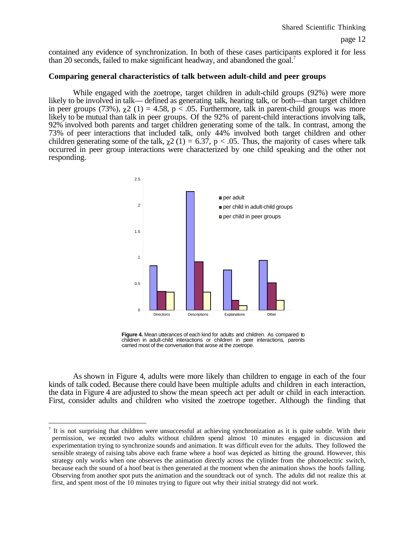contained any evidence of synchronization. In both of these cases participants explored it for less than 20 seconds, failed to make significant headway, and abandoned the goal.<sup>7</sup>

# **Comparing general characteristics of talk between adult-child and peer groups**

While engaged with the zoetrope, target children in adult-child groups (92%) were more likely to be involved in talk— defined as generating talk, hearing talk, or both—than target children in peer groups (73%),  $\chi$ 2 (1) = 4.58, p < .05. Furthermore, talk in parent-child groups was more likely to be mutual than talk in peer groups. Of the 92% of parent-child interactions involving talk, 92% involved both parents and target children generating some of the talk. In contrast, among the 73% of peer interactions that included talk, only 44% involved both target children and other children generating some of the talk,  $\chi^2$  (1) = 6.37, p < .05. Thus, the majority of cases where talk occurred in peer group interactions were characterized by one child speaking and the other not responding.



**Figure 4.** Mean utterances of each kind for adults and children. As compared to children in adult-child interactions or children in peer interactions, parents carried most of the conversation that arose at the zoetrope.

As shown in Figure 4, adults were more likely than children to engage in each of the four kinds of talk coded. Because there could have been multiple adults and children in each interaction, the data in Figure 4 are adjusted to show the mean speech act per adult or child in each interaction. First, consider adults and children who visited the zoetrope together. Although the finding that

 $\overline{a}$ 

 $<sup>7</sup>$  It is not surprising that children were unsuccessful at achieving synchronization as it is quite subtle. With their</sup> permission, we recorded two adults without children spend almost 10 minutes engaged in discussion and experimentation trying to synchronize sounds and animation. It was difficult even for the adults. They followed the sensible strategy of raising tabs above each frame where a hoof was depicted as hitting the ground. However, this strategy only works when one observes the animation directly across the cylinder from the photoelectric switch, because each the sound of a hoof beat is then generated at the moment when the animation shows the hoofs falling. Observing from another spot puts the animation and the soundtrack out of synch. The adults did not realize this at first, and spent most of the 10 minutes trying to figure out why their initial strategy did not work.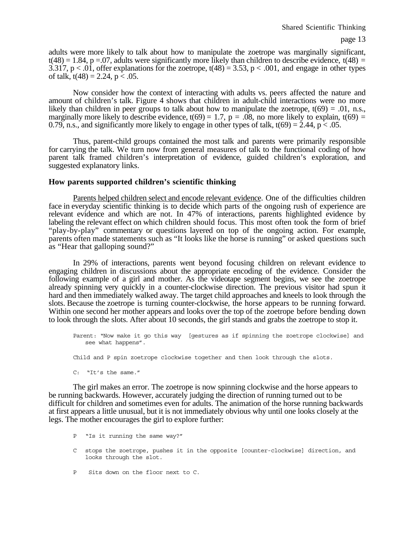adults were more likely to talk about how to manipulate the zoetrope was marginally significant,  $t(48) = 1.84$ , p = 07, adults were significantly more likely than children to describe evidence, t(48) = 3.317,  $p < 0.01$ , offer explanations for the zoetrope,  $t(48) = 3.53$ ,  $p < 0.001$ , and engage in other types of talk,  $t(48) = 2.24$ ,  $p < .05$ .

Now consider how the context of interacting with adults vs. peers affected the nature and amount of children's talk. Figure 4 shows that children in adult-child interactions were no more likely than children in peer groups to talk about how to manipulate the zoetrope,  $t(69) = .01$ , n.s., marginally more likely to describe evidence,  $t(69) = 1.7$ ,  $p = .08$ , no more likely to explain,  $t(69) =$ 0.79, n.s., and significantly more likely to engage in other types of talk,  $t(69) = 2.44$ , p < .05.

Thus, parent-child groups contained the most talk and parents were primarily responsible for carrying the talk. We turn now from general measures of talk to the functional coding of how parent talk framed children's interpretation of evidence, guided children's exploration, and suggested explanatory links.

# **How parents supported children's scientific thinking**

Parents helped children select and encode relevant evidence. One of the difficulties children face in everyday scientific thinking is to decide which parts of the ongoing rush of experience are relevant evidence and which are not. In 47% of interactions, parents highlighted evidence by labeling the relevant effect on which children should focus. This most often took the form of brief "play-by-play" commentary or questions layered on top of the ongoing action. For example, parents often made statements such as "It looks like the horse is running" or asked questions such as "Hear that galloping sound?"

In 29% of interactions, parents went beyond focusing children on relevant evidence to engaging children in discussions about the appropriate encoding of the evidence. Consider the following example of a girl and mother. As the videotape segment begins, we see the zoetrope already spinning very quickly in a counter-clockwise direction. The previous visitor had spun it hard and then immediately walked away. The target child approaches and kneels to look through the slots. Because the zoetrope is turning counter-clockwise, the horse appears to be running forward. Within one second her mother appears and looks over the top of the zoetrope before bending down to look through the slots. After about 10 seconds, the girl stands and grabs the zoetrope to stop it.

Parent: "Now make it go this way [gestures as if spinning the zoetrope clockwise] and see what happens".

Child and P spin zoetrope clockwise together and then look through the slots.

C: "It's the same."

The girl makes an error. The zoetrope is now spinning clockwise and the horse appears to be running backwards. However, accurately judging the direction of running turned out to be difficult for children and sometimes even for adults. The animation of the horse running backwards at first appears a little unusual, but it is not immediately obvious why until one looks closely at the legs. The mother encourages the girl to explore further:

- P "Is it running the same way?"
- C stops the zoetrope, pushes it in the opposite [counter-clockwise] direction, and looks through the slot.
- P Sits down on the floor next to C.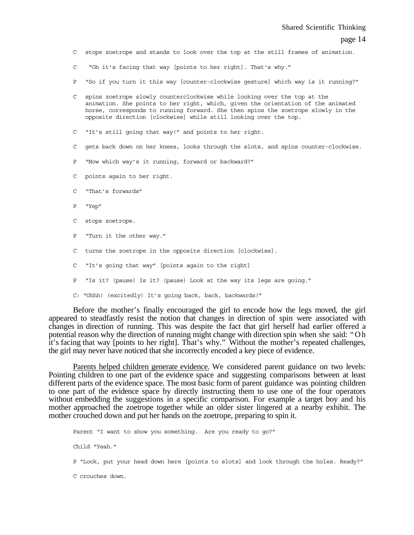- C stops zoetrope and stands to look over the top at the still frames of animation.
- C "Oh it's facing that way [points to her right]. That's why."
- P "So if you turn it this way [counter-clockwise gesture] which way is it running?"
- C spins zoetrope slowly counterclockwise while looking over the top at the animation. She points to her right, which, given the orientation of the animated horse, corresponds to running forward. She then spins the zoetrope slowly in the opposite direction [clockwise] while still looking over the top.
- C "It's still going that way!" and points to her right.
- C gets back down on her knees, looks through the slots, and spins counter-clockwise.
- P "Now which way's it running, forward or backward?"
- C points again to her right.
- C "That's forwards"
- P "Yep"
- C stops zoetrope.
- P "Turn it the other way."
- C turns the zoetrope in the opposite direction [clockwise].
- C "It's going that way" [points again to the right]
- P "Is it? (pause) Is it? (pause) Look at the way its legs are going."
- C: "Ohhh! (excitedly) It's going back, back, backwards!"

Before the mother's finally encouraged the girl to encode how the legs moved, the girl appeared to steadfastly resist the notion that changes in direction of spin were associated with changes in direction of running. This was despite the fact that girl herself had earlier offered a potential reason why the direction of running might change with direction spin when she said: " O h it's facing that way [points to her right]. That's why." Without the mother's repeated challenges, the girl may never have noticed that she incorrectly encoded a key piece of evidence.

Parents helped children generate evidence. We considered parent guidance on two levels: Pointing children to one part of the evidence space and suggesting comparisons between at least different parts of the evidence space. The most basic form of parent guidance was pointing children to one part of the evidence space by directly instructing them to use one of the four operators without embedding the suggestions in a specific comparison. For example a target boy and his mother approached the zoetrope together while an older sister lingered at a nearby exhibit. The mother crouched down and put her hands on the zoetrope, preparing to spin it.

Parent "I want to show you something. Are you ready to go?" Child "Yeah." P "Look, put your head down here [points to slots] and look through the holes. Ready?" C crouches down.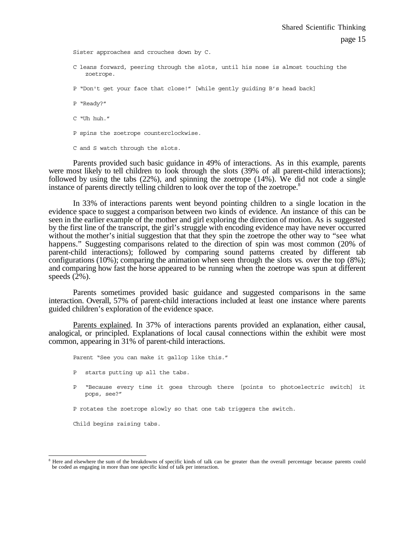Sister approaches and crouches down by C.

- C leans forward, peering through the slots, until his nose is almost touching the zoetrope.
- P "Don't get your face that close!" [while gently guiding B's head back]

P "Ready?"

- C "Uh huh."
- P spins the zoetrope counterclockwise.

C and S watch through the slots.

Parents provided such basic guidance in 49% of interactions. As in this example, parents were most likely to tell children to look through the slots (39% of all parent-child interactions); followed by using the tabs (22%), and spinning the zoetrope (14%). We did not code a single instance of parents directly telling children to look over the top of the zoetrope.<sup>8</sup>

In 33% of interactions parents went beyond pointing children to a single location in the evidence space to suggest a comparison between two kinds of evidence. An instance of this can be seen in the earlier example of the mother and girl exploring the direction of motion. As is suggested by the first line of the transcript, the girl's struggle with encoding evidence may have never occurred without the mother's initial suggestion that that they spin the zoetrope the other way to "see what happens." Suggesting comparisons related to the direction of spin was most common (20% of parent-child interactions); followed by comparing sound patterns created by different tab configurations (10%); comparing the animation when seen through the slots vs. over the top (8%); and comparing how fast the horse appeared to be running when the zoetrope was spun at different speeds  $(2\%)$ .

Parents sometimes provided basic guidance and suggested comparisons in the same interaction. Overall, 57% of parent-child interactions included at least one instance where parents guided children's exploration of the evidence space.

Parents explained. In 37% of interactions parents provided an explanation, either causal, analogical, or principled. Explanations of local causal connections within the exhibit were most common, appearing in 31% of parent-child interactions.

Parent "See you can make it gallop like this."

- P starts putting up all the tabs.
- P "Because every time it goes through there [points to photoelectric switch] it pops, see?"

P rotates the zoetrope slowly so that one tab triggers the switch.

Child begins raising tabs.

 $\overline{a}$ 

<sup>&</sup>lt;sup>8</sup> Here and elsewhere the sum of the breakdowns of specific kinds of talk can be greater than the overall percentage because parents could be coded as engaging in more than one specific kind of talk per interaction.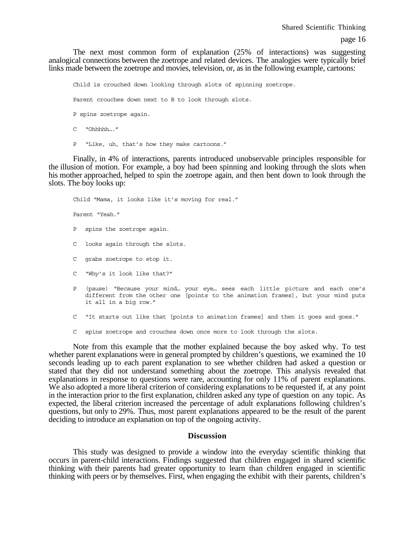The next most common form of explanation (25% of interactions) was suggesting analogical connections between the zoetrope and related devices. The analogies were typically brief links made between the zoetrope and movies, television, or, as in the following example, cartoons:

Child is crouched down looking through slots of spinning zoetrope. Parent crouches down next to B to look through slots. P spins zoetrope again. C "Ohhhhh…." P "Like, uh, that's how they make cartoons."

Finally, in 4% of interactions, parents introduced unobservable principles responsible for the illusion of motion. For example, a boy had been spinning and looking through the slots when his mother approached, helped to spin the zoetrope again, and then bent down to look through the slots. The boy looks up:

Child "Mama, it looks like it's moving for real." Parent "Yeah." P spins the zoetrope again. C looks again through the slots. C grabs zoetrope to stop it. C "Why's it look like that?" P (pause) "Because your mind… your eye… sees each little picture and each one's different from the other one [points to the animation frames], but your mind puts

it all in a big row."

- C "It starts out like that [points to animation frames] and then it goes and goes."
- C spins zoetrope and crouches down once more to look through the slots.

Note from this example that the mother explained because the boy asked why. To test whether parent explanations were in general prompted by children's questions, we examined the 10 seconds leading up to each parent explanation to see whether children had asked a question or stated that they did not understand something about the zoetrope. This analysis revealed that explanations in response to questions were rare, accounting for only 11% of parent explanations. We also adopted a more liberal criterion of considering explanations to be requested if, at any point in the interaction prior to the first explanation, children asked any type of question on any topic. As expected, the liberal criterion increased the percentage of adult explanations following children's questions, but only to 29%. Thus, most parent explanations appeared to be the result of the parent deciding to introduce an explanation on top of the ongoing activity.

#### **Discussion**

This study was designed to provide a window into the everyday scientific thinking that occurs in parent-child interactions. Findings suggested that children engaged in shared scientific thinking with their parents had greater opportunity to learn than children engaged in scientific thinking with peers or by themselves. First, when engaging the exhibit with their parents, children's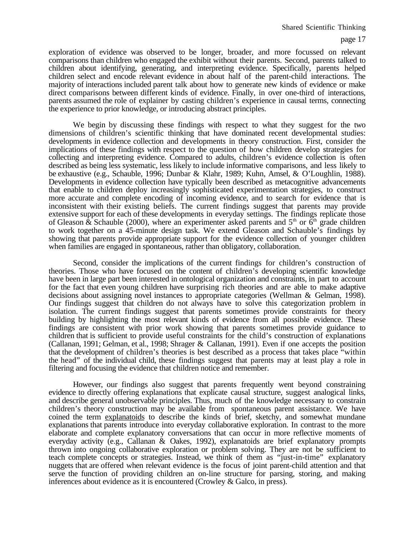exploration of evidence was observed to be longer, broader, and more focussed on relevant comparisons than children who engaged the exhibit without their parents. Second, parents talked to children about identifying, generating, and interpreting evidence. Specifically, parents helped children select and encode relevant evidence in about half of the parent-child interactions. The majority of interactions included parent talk about how to generate new kinds of evidence or make direct comparisons between different kinds of evidence. Finally, in over one-third of interactions, parents assumed the role of explainer by casting children's experience in causal terms, connecting the experience to prior knowledge, or introducing abstract principles.

We begin by discussing these findings with respect to what they suggest for the two dimensions of children's scientific thinking that have dominated recent developmental studies: developments in evidence collection and developments in theory construction. First, consider the implications of these findings with respect to the question of how children develop strategies for collecting and interpreting evidence. Compared to adults, children's evidence collection is often described as being less systematic, less likely to include informative comparisons, and less likely to be exhaustive (e.g., Schauble, 1996; Dunbar & Klahr, 1989; Kuhn, Amsel, & O'Loughlin, 1988). Developments in evidence collection have typically been described as metacognitive advancements that enable to children deploy increasingly sophisticated experimentation strategies, to construct more accurate and complete encoding of incoming evidence, and to search for evidence that is inconsistent with their existing beliefs. The current findings suggest that parents may provide extensive support for each of these developments in everyday settings. The findings replicate those of Gleason  $\&$  Schauble (2000), where an experimenter asked parents and  $5<sup>th</sup>$  or  $\vec{6}<sup>th</sup>$  grade children to work together on a 45-minute design task. We extend Gleason and Schauble's findings by showing that parents provide appropriate support for the evidence collection of younger children when families are engaged in spontaneous, rather than obligatory, collaboration.

Second, consider the implications of the current findings for children's construction of theories. Those who have focused on the content of children's developing scientific knowledge have been in large part been interested in ontological organization and constraints, in part to account for the fact that even young children have surprising rich theories and are able to make adaptive decisions about assigning novel instances to appropriate categories (Wellman & Gelman, 1998). Our findings suggest that children do not always have to solve this categorization problem in isolation. The current findings suggest that parents sometimes provide constraints for theory building by highlighting the most relevant kinds of evidence from all possible evidence. These findings are consistent with prior work showing that parents sometimes provide guidance to children that is sufficient to provide useful constraints for the child's construction of explanations (Callanan, 1991; Gelman, et al., 1998; Shrager & Callanan, 1991). Even if one accepts the position that the development of children's theories is best described as a process that takes place "within the head" of the individual child, these findings suggest that parents may at least play a role in filtering and focusing the evidence that children notice and remember.

However, our findings also suggest that parents frequently went beyond constraining evidence to directly offering explanations that explicate causal structure, suggest analogical links, and describe general unobservable principles. Thus, much of the knowledge necessary to constrain children's theory construction may be available from spontaneous parent assistance. We have coined the term explanatoids to describe the kinds of brief, sketchy, and somewhat mundane explanations that parents introduce into everyday collaborative exploration. In contrast to the more elaborate and complete explanatory conversations that can occur in more reflective moments of everyday activity (e.g., Callanan & Oakes, 1992), explanatoids are brief explanatory prompts thrown into ongoing collaborative exploration or problem solving. They are not be sufficient to teach complete concepts or strategies. Instead, we think of them as "just-in-time" explanatory nuggets that are offered when relevant evidence is the focus of joint parent-child attention and that serve the function of providing children an on-line structure for parsing, storing, and making inferences about evidence as it is encountered (Crowley & Galco, in press).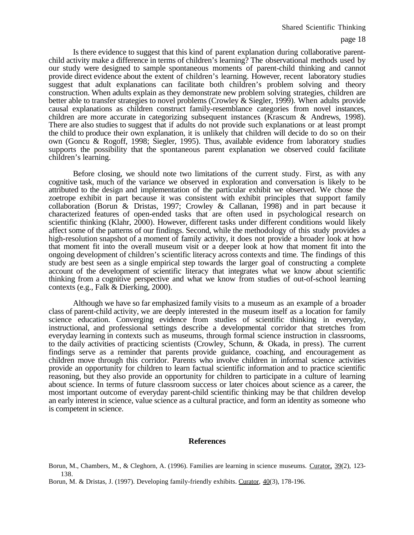Is there evidence to suggest that this kind of parent explanation during collaborative parentchild activity make a difference in terms of children's learning? The observational methods used by our study were designed to sample spontaneous moments of parent-child thinking and cannot provide direct evidence about the extent of children's learning. However, recent laboratory studies suggest that adult explanations can facilitate both children's problem solving and theory construction. When adults explain as they demonstrate new problem solving strategies, children are better able to transfer strategies to novel problems (Crowley & Siegler, 1999). When adults provide causal explanations as children construct family-resemblance categories from novel instances, children are more accurate in categorizing subsequent instances (Krascum & Andrews, 1998). There are also studies to suggest that if adults do not provide such explanations or at least prompt the child to produce their own explanation, it is unlikely that children will decide to do so on their own (Goncu & Rogoff, 1998; Siegler, 1995). Thus, available evidence from laboratory studies supports the possibility that the spontaneous parent explanation we observed could facilitate children's learning.

Before closing, we should note two limitations of the current study. First, as with any cognitive task, much of the variance we observed in exploration and conversation is likely to be attributed to the design and implementation of the particular exhibit we observed. We chose the zoetrope exhibit in part because it was consistent with exhibit principles that support family collaboration (Borun & Dristas, 1997; Crowley & Callanan, 1998) and in part because it characterized features of open-ended tasks that are often used in psychological research on scientific thinking (Klahr, 2000). However, different tasks under different conditions would likely affect some of the patterns of our findings. Second, while the methodology of this study provides a high-resolution snapshot of a moment of family activity, it does not provide a broader look at how that moment fit into the overall museum visit or a deeper look at how that moment fit into the ongoing development of children's scientific literacy across contexts and time. The findings of this study are best seen as a single empirical step towards the larger goal of constructing a complete account of the development of scientific literacy that integrates what we know about scientific thinking from a cognitive perspective and what we know from studies of out-of-school learning contexts (e.g., Falk & Dierking, 2000).

Although we have so far emphasized family visits to a museum as an example of a broader class of parent-child activity, we are deeply interested in the museum itself as a location for family science education. Converging evidence from studies of scientific thinking in everyday, instructional, and professional settings describe a developmental corridor that stretches from everyday learning in contexts such as museums, through formal science instruction in classrooms, to the daily activities of practicing scientists (Crowley, Schunn, & Okada, in press). The current findings serve as a reminder that parents provide guidance, coaching, and encouragement as children move through this corridor. Parents who involve children in informal science activities provide an opportunity for children to learn factual scientific information and to practice scientific reasoning, but they also provide an opportunity for children to participate in a culture of learning about science. In terms of future classroom success or later choices about science as a career, the most important outcome of everyday parent-child scientific thinking may be that children develop an early interest in science, value science as a cultural practice, and form an identity as someone who is competent in science.

# **References**

Borun, M., Chambers, M., & Cleghorn, A. (1996). Families are learning in science museums. Curator, 39(2), 123-138.

Borun, M. & Dristas, J. (1997). Developing family-friendly exhibits. Curator, 40(3), 178-196.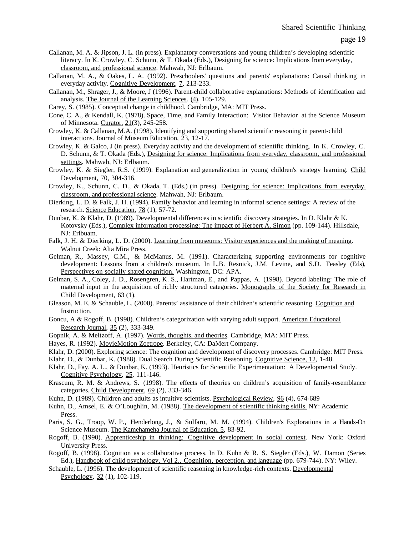- Callanan, M. A. & Jipson, J. L. (in press). Explanatory conversations and young children's developing scientific literacy. In K. Crowley, C. Schunn, & T. Okada (Eds.), Designing for science: Implications from everyday, classroom, and professional science . Mahwah, NJ: Erlbaum.
- Callanan, M. A., & Oakes, L. A. (1992). Preschoolers' questions and parents' explanations: Causal thinking in everyday activity. Cognitive Development, 7, 213-233.
- Callanan, M., Shrager, J., & Moore, J (1996). Parent-child collaborative explanations: Methods of identification and analysis. The Journal of the Learning Sciences. (4), 105-129.
- Carey, S. (1985). Conceptual change in childhood. Cambridge, MA: MIT Press.
- Cone, C. A., & Kendall, K. (1978). Space, Time, and Family Interaction: Visitor Behavior at the Science Museum of Minnesota. Curator, 21(3), 245-258.
- Crowley, K. & Callanan, M.A. (1998). Identifying and supporting shared scientific reasoning in parent-child interactions. Journal of Museum Education, 23, 12-17.
- Crowley, K. & Galco, J (in press). Everyday activity and the development of scientific thinking. In K. Crowley, C. D. Schunn, & T. Okada (Eds.), Designing for science: Implications from everyday, classroom, and professional settings. Mahwah, NJ: Erlbaum.
- Crowley, K. & Siegler, R.S. (1999). Explanation and generalization in young children's strategy learning. Child Development, 70, 304-316.
- Crowley, K., Schunn, C. D., & Okada, T. (Eds.) (in press). Designing for science: Implications from everyday, classroom, and professional science . Mahwah, NJ: Erlbaum.
- Dierking, L. D. & Falk, J. H. (1994). Family behavior and learning in informal science settings: A review of the research. Science Education, 78 (1), 57-72.
- Dunbar, K. & Klahr, D. (1989). Developmental differences in scientific discovery strategies. In D. Klahr & K. Kotovsky (Eds.), Complex information processing: The impact of Herbert A. Simon (pp. 109-144). Hillsdale, NJ: Erlbuam.
- Falk, J. H. & Dierking, L. D. (2000). Learning from museums: Visitor experiences and the making of meaning. Walnut Creek: Alta Mira Press.
- Gelman, R., Massey, C.M., & McManus, M. (1991). Characterizing supporting environments for cognitive development: Lessons from a children's museum. In L.B. Resnick, J.M. Levine, and S.D. Teasley (Eds), Perspectives on socially shared cognition. Washington, DC: APA.
- Gelman, S. A., Coley, J. D., Rosengren, K. S., Hartman, E., and Pappas, A. (1998). Beyond labeling: The role of maternal input in the acquisition of richly structured categories. Monographs of the Society for Research in Child Development,  $63(1)$ .
- Gleason, M. E. & Schauble, L. (2000). Parents' assistance of their children's scientific reasoning. Cognition and Instruction.
- Goncu, A & Rogoff, B. (1998). Children's categorization with varying adult support. American Educational Research Journal, 35 (2), 333-349.
- Gopnik, A. & Meltzoff, A. (1997). Words, thoughts, and theories. Cambridge, MA: MIT Press.
- Hayes, R. (1992). MovieMotion Zoetrope. Berkeley, CA: DaMert Company.
- Klahr, D. (2000). Exploring science: The cognition and development of discovery processes. Cambridge: MIT Press.
- Klahr, D., & Dunbar, K. (1988). Dual Search During Scientific Reasoning. Cognitive Science, 12 , 1-48.
- Klahr, D., Fay, A. L., & Dunbar, K. (1993). Heuristics for Scientific Experimentation: A Developmental Study. Cognitive Psychology, 25, 111-146.
- Krascum, R. M. & Andrews, S. (1998). The effects of theories on children's acquisition of family-resemblance categories. Child Development, 69 (2), 333-346.
- Kuhn, D. (1989). Children and adults as intuitive scientists. Psychological Review, 96 (4), 674-689
- Kuhn, D., Amsel, E. & O'Loughlin, M. (1988). The development of scientific thinking skills. NY: Academic Press.
- Paris, S. G., Troop, W. P., Henderlong, J., & Sulfaro, M. M. (1994). Children's Explorations in a Hands-On Science Museum. The Kamehameha Journal of Education, 5, 83-92.
- Rogoff, B. (1990). Apprenticeship in thinking: Cognitive development in social context. New York: Oxford University Press.
- Rogoff, B. (1998). Cognition as a collaborative process. In D. Kuhn & R. S. Siegler (Eds.), W. Damon (Series Ed.), Handbook of child psychology, Vol 2., Cognition, perception, and language (pp. 679-744). NY: Wiley.
- Schauble, L. (1996). The development of scientific reasoning in knowledge-rich contexts. Developmental Psychology, 32 (1), 102-119.